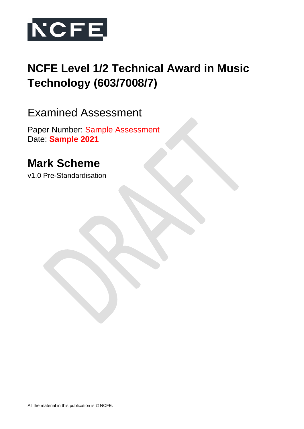

# **NCFE Level 1/2 Technical Award in Music Technology (603/7008/7)**

# Examined Assessment

Paper Number: Sample Assessment Date: **Sample 2021**

# **Mark Scheme**

v1.0 Pre-Standardisation

All the material in this publication is © NCFE.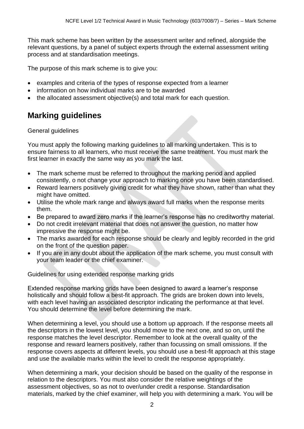This mark scheme has been written by the assessment writer and refined, alongside the relevant questions, by a panel of subject experts through the external assessment writing process and at standardisation meetings.

The purpose of this mark scheme is to give you:

- examples and criteria of the types of response expected from a learner
- information on how individual marks are to be awarded
- the allocated assessment objective(s) and total mark for each question.

# **Marking guidelines**

#### General guidelines

You must apply the following marking guidelines to all marking undertaken. This is to ensure fairness to all learners, who must receive the same treatment. You must mark the first learner in exactly the same way as you mark the last.

- The mark scheme must be referred to throughout the marking period and applied consistently, o not change your approach to marking once you have been standardised.
- Reward learners positively giving credit for what they have shown, rather than what they might have omitted.
- Utilise the whole mark range and always award full marks when the response merits them.
- Be prepared to award zero marks if the learner's response has no creditworthy material.
- Do not credit irrelevant material that does not answer the question, no matter how impressive the response might be.
- The marks awarded for each response should be clearly and legibly recorded in the grid on the front of the question paper.
- If you are in any doubt about the application of the mark scheme, you must consult with your team leader or the chief examiner.

Guidelines for using extended response marking grids

Extended response marking grids have been designed to award a learner's response holistically and should follow a best-fit approach. The grids are broken down into levels, with each level having an associated descriptor indicating the performance at that level. You should determine the level before determining the mark.

When determining a level, you should use a bottom up approach. If the response meets all the descriptors in the lowest level, you should move to the next one, and so on, until the response matches the level descriptor. Remember to look at the overall quality of the response and reward learners positively, rather than focussing on small omissions. If the response covers aspects at different levels, you should use a best-fit approach at this stage and use the available marks within the level to credit the response appropriately.

When determining a mark, your decision should be based on the quality of the response in relation to the descriptors. You must also consider the relative weightings of the assessment objectives, so as not to over/under credit a response. Standardisation materials, marked by the chief examiner, will help you with determining a mark. You will be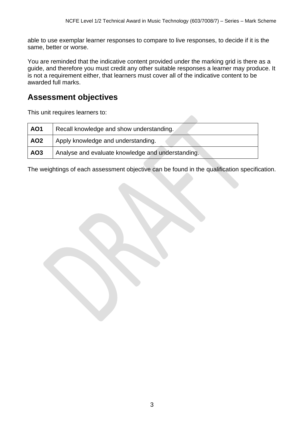able to use exemplar learner responses to compare to live responses, to decide if it is the same, better or worse.

You are reminded that the indicative content provided under the marking grid is there as a guide, and therefore you must credit any other suitable responses a learner may produce. It is not a requirement either, that learners must cover all of the indicative content to be awarded full marks.

## **Assessment objectives**

This unit requires learners to:

| <b>AO1</b>      | Recall knowledge and show understanding.          |
|-----------------|---------------------------------------------------|
| AO <sub>2</sub> | Apply knowledge and understanding.                |
| AO3             | Analyse and evaluate knowledge and understanding. |

The weightings of each assessment objective can be found in the qualification specification.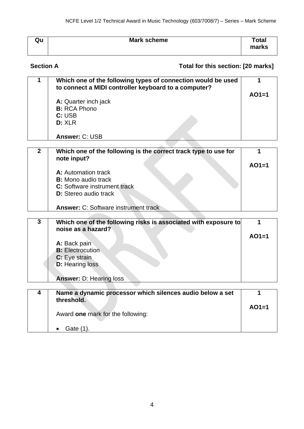| Qu | Mark scheme | Total<br>marks |
|----|-------------|----------------|
|    |             |                |

### **Section A Total for this section: [20 marks]**

| Which one of the following types of connection would be used<br>to connect a MIDI controller keyboard to a computer? |         |
|----------------------------------------------------------------------------------------------------------------------|---------|
|                                                                                                                      | $AO1=1$ |
| A: Quarter inch jack                                                                                                 |         |
| <b>B:</b> RCA Phono                                                                                                  |         |
| C: USB                                                                                                               |         |
| <b>D:</b> XLR                                                                                                        |         |
|                                                                                                                      |         |
| Answer: C: USB                                                                                                       |         |
|                                                                                                                      |         |

| Which one of the following is the correct track type to use for<br>note input? |         |
|--------------------------------------------------------------------------------|---------|
|                                                                                | $AO1=1$ |
| A: Automation track                                                            |         |
| <b>B:</b> Mono audio track                                                     |         |
| C: Software instrument track                                                   |         |
| <b>D:</b> Stereo audio track                                                   |         |
| <b>Answer: C: Software instrument track</b>                                    |         |

 $\sim$ 

 $\sim$ 

| 3 | Which one of the following risks is associated with exposure to<br>noise as a hazard? |         |
|---|---------------------------------------------------------------------------------------|---------|
|   | A: Back pain<br><b>B:</b> Electrocution<br>C: Eye strain<br><b>D:</b> Hearing loss    | $AO1=1$ |
|   | <b>Answer: D: Hearing loss</b>                                                        |         |

| Name a dynamic processor which silences audio below a set<br>threshold. |         |
|-------------------------------------------------------------------------|---------|
| Award one mark for the following:                                       | $AO1=1$ |
| Gate (1).                                                               |         |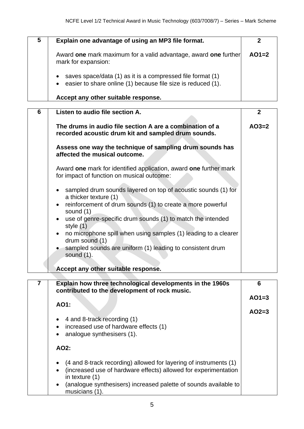| 5 | Explain one advantage of using an MP3 file format.                                                                                                   |         |
|---|------------------------------------------------------------------------------------------------------------------------------------------------------|---------|
|   | Award one mark maximum for a valid advantage, award one further<br>mark for expansion:                                                               | $AO1=2$ |
|   | saves space/data (1) as it is a compressed file format (1)<br>$\bullet$<br>easier to share online (1) because file size is reduced (1).<br>$\bullet$ |         |
|   | Accept any other suitable response.                                                                                                                  |         |

| 6 | Listen to audio file section A.                                                                                 | $\overline{2}$ |
|---|-----------------------------------------------------------------------------------------------------------------|----------------|
|   |                                                                                                                 |                |
|   | The drums in audio file section A are a combination of a<br>recorded acoustic drum kit and sampled drum sounds. | $AO3=2$        |
|   | Assess one way the technique of sampling drum sounds has<br>affected the musical outcome.                       |                |
|   | Award one mark for identified application, award one further mark<br>for impact of function on musical outcome: |                |
|   | sampled drum sounds layered on top of acoustic sounds (1) for<br>a thicker texture (1)                          |                |
|   | reinforcement of drum sounds (1) to create a more powerful<br>$\bullet$<br>sound $(1)$                          |                |
|   | use of genre-specific drum sounds (1) to match the intended<br>$\bullet$<br>style $(1)$                         |                |
|   | no microphone spill when using samples (1) leading to a clearer<br>$\bullet$<br>drum sound (1)                  |                |
|   | sampled sounds are uniform (1) leading to consistent drum<br>sound $(1)$ .                                      |                |
|   | Accept any other suitable response.                                                                             |                |

| Explain how three technological developments in the 1960s<br>contributed to the development of rock music. | 6       |
|------------------------------------------------------------------------------------------------------------|---------|
| AO1:                                                                                                       | $AO1=3$ |
|                                                                                                            | $AO2=3$ |
| 4 and 8-track recording (1)                                                                                |         |
| increased use of hardware effects (1)<br>$\bullet$                                                         |         |
| analogue synthesisers (1).<br>$\bullet$                                                                    |         |
| AO2:                                                                                                       |         |
| (4 and 8-track recording) allowed for layering of instruments (1)                                          |         |
| (increased use of hardware effects) allowed for experimentation<br>$\bullet$<br>in texture (1)             |         |
| (analogue synthesisers) increased palette of sounds available to<br>$\bullet$<br>musicians (1).            |         |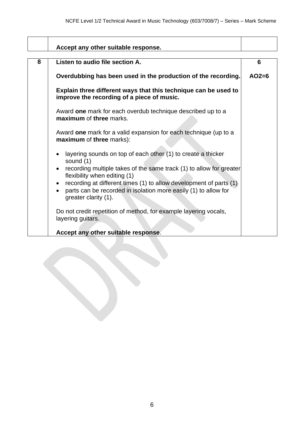|   | Accept any other suitable response.                                                                                                                                                                                                                                                                                                                 |         |
|---|-----------------------------------------------------------------------------------------------------------------------------------------------------------------------------------------------------------------------------------------------------------------------------------------------------------------------------------------------------|---------|
| 8 | Listen to audio file section A.                                                                                                                                                                                                                                                                                                                     | 6       |
|   | Overdubbing has been used in the production of the recording.                                                                                                                                                                                                                                                                                       | $AO2=6$ |
|   | Explain three different ways that this technique can be used to<br>improve the recording of a piece of music.                                                                                                                                                                                                                                       |         |
|   | Award one mark for each overdub technique described up to a<br>maximum of three marks.                                                                                                                                                                                                                                                              |         |
|   | Award one mark for a valid expansion for each technique (up to a<br>maximum of three marks):                                                                                                                                                                                                                                                        |         |
|   | layering sounds on top of each other (1) to create a thicker<br>sound (1)<br>recording multiple takes of the same track (1) to allow for greater<br>flexibility when editing (1)<br>• recording at different times (1) to allow development of parts (1)<br>parts can be recorded in isolation more easily (1) to allow for<br>greater clarity (1). |         |
|   | Do not credit repetition of method, for example layering vocals,<br>layering guitars.<br>Accept any other suitable response.                                                                                                                                                                                                                        |         |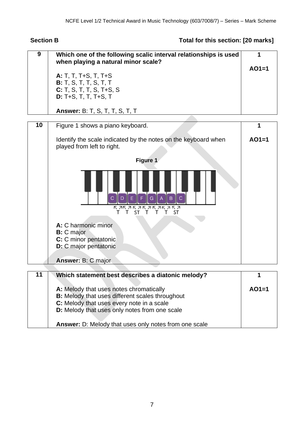## **Section B Total for this section: [20 marks]**

| 9  | Which one of the following scalic interval relationships is used<br>when playing a natural minor scale?                        | 1       |
|----|--------------------------------------------------------------------------------------------------------------------------------|---------|
|    |                                                                                                                                | $AO1=1$ |
|    | A: T, T, T+S, T, T+S<br><b>B:</b> T, S, T, T, S, T, T                                                                          |         |
|    | $C: T, S, T, T, S, T+S, S$                                                                                                     |         |
|    | D: T+S, T, T, T+S, T                                                                                                           |         |
|    | <b>Answer: B: T, S, T, T, S, T, T</b>                                                                                          |         |
| 10 | Figure 1 shows a piano keyboard.                                                                                               |         |
|    | Identify the scale indicated by the notes on the keyboard when                                                                 | $AO1=1$ |
|    | played from left to right.                                                                                                     |         |
|    | Figure 1                                                                                                                       |         |
|    |                                                                                                                                |         |
|    | F<br>E<br>$\mathbf{G}$<br>$\overline{C}$<br>$\overline{B}$<br>D<br>$\overline{A}$<br>C<br>RARARARARARA<br><b>ST</b><br>Τ<br>ST |         |
|    |                                                                                                                                |         |
|    | A: C harmonic minor<br><b>B:</b> C major                                                                                       |         |
|    | C: C minor pentatonic                                                                                                          |         |
|    | D: C major pentatonic                                                                                                          |         |
|    | Answer: B: C major                                                                                                             |         |
| 11 | Which statement best describes a diatonic melody?                                                                              |         |
|    |                                                                                                                                |         |
|    | A: Melody that uses notes chromatically<br>B: Melody that uses different scales throughout                                     | $AO1=1$ |
|    | C: Melody that uses every note in a scale                                                                                      |         |
|    | D: Melody that uses only notes from one scale                                                                                  |         |
|    | Answer: D: Melody that uses only notes from one scale                                                                          |         |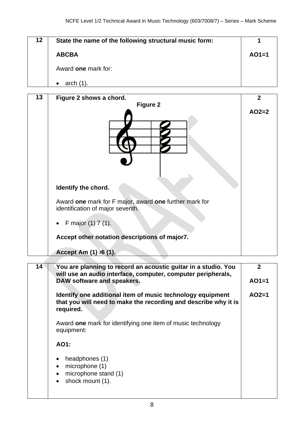| 12 <sub>2</sub> | State the name of the following structural music form: |         |
|-----------------|--------------------------------------------------------|---------|
|                 | <b>ABCBA</b>                                           | $AO1=1$ |
|                 | Award one mark for:                                    |         |
|                 | arch                                                   |         |

| 13 | Figure 2 shows a chord.                                                                    | $\overline{2}$ |
|----|--------------------------------------------------------------------------------------------|----------------|
|    | <b>Figure 2</b>                                                                            |                |
|    |                                                                                            | $AO2=2$        |
|    | Identify the chord.                                                                        |                |
|    | Award one mark for F major, award one further mark for<br>identification of major seventh. |                |
|    | F major $(1)$ 7 $(1)$ .                                                                    |                |
|    | Accept other notation descriptions of major7.                                              |                |
|    | Accept Am $(1)$ $\overline{6}$ $(1)$ .                                                     |                |
| 14 | You are planning to record an acoustic guitar in a studio. You                             | $\mathbf{2}$   |
|    | will use an audio interface, computer, computer peripherals,                               |                |

| will use an audio interface, computer, computer peripherals,<br>DAW software and speakers.                                                 | $AO1=1$ |
|--------------------------------------------------------------------------------------------------------------------------------------------|---------|
| Identify one additional item of music technology equipment<br>that you will need to make the recording and describe why it is<br>required. | $AO2=1$ |
| Award one mark for identifying one item of music technology<br>equipment:                                                                  |         |
| AO1:                                                                                                                                       |         |
| headphones (1)<br>microphone (1)<br>microphone stand (1)<br>shock mount (1).<br>$\bullet$                                                  |         |
|                                                                                                                                            |         |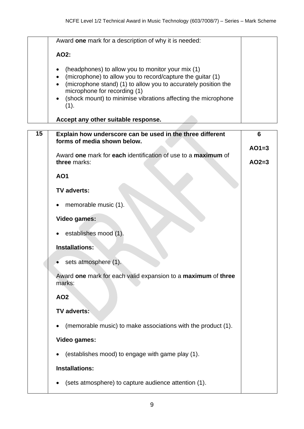|    | Award one mark for a description of why it is needed:                                                                                                                                                                                                                                                   |         |
|----|---------------------------------------------------------------------------------------------------------------------------------------------------------------------------------------------------------------------------------------------------------------------------------------------------------|---------|
|    | AO2:                                                                                                                                                                                                                                                                                                    |         |
|    | (headphones) to allow you to monitor your mix (1)<br>(microphone) to allow you to record/capture the guitar (1)<br>$\bullet$<br>(microphone stand) (1) to allow you to accurately position the<br>microphone for recording (1)<br>(shock mount) to minimise vibrations affecting the microphone<br>(1). |         |
|    | Accept any other suitable response.                                                                                                                                                                                                                                                                     |         |
| 15 | Explain how underscore can be used in the three different                                                                                                                                                                                                                                               | 6       |
|    | forms of media shown below.                                                                                                                                                                                                                                                                             | $AO1=3$ |
|    | Award one mark for each identification of use to a maximum of                                                                                                                                                                                                                                           |         |
|    | three marks:                                                                                                                                                                                                                                                                                            | $AO2=3$ |
|    | <b>AO1</b>                                                                                                                                                                                                                                                                                              |         |
|    | <b>TV adverts:</b>                                                                                                                                                                                                                                                                                      |         |
|    | memorable music (1).                                                                                                                                                                                                                                                                                    |         |
|    | <b>Video games:</b>                                                                                                                                                                                                                                                                                     |         |
|    | establishes mood (1).                                                                                                                                                                                                                                                                                   |         |
|    | Installations:                                                                                                                                                                                                                                                                                          |         |
|    | sets atmosphere (1).                                                                                                                                                                                                                                                                                    |         |
|    | Award one mark for each valid expansion to a maximum of three<br>marks:                                                                                                                                                                                                                                 |         |
|    | <b>AO2</b>                                                                                                                                                                                                                                                                                              |         |
|    | <b>TV adverts:</b>                                                                                                                                                                                                                                                                                      |         |
|    | (memorable music) to make associations with the product (1).                                                                                                                                                                                                                                            |         |
|    | <b>Video games:</b>                                                                                                                                                                                                                                                                                     |         |
|    | (establishes mood) to engage with game play (1).                                                                                                                                                                                                                                                        |         |
|    | <b>Installations:</b>                                                                                                                                                                                                                                                                                   |         |

• (sets atmosphere) to capture audience attention (1).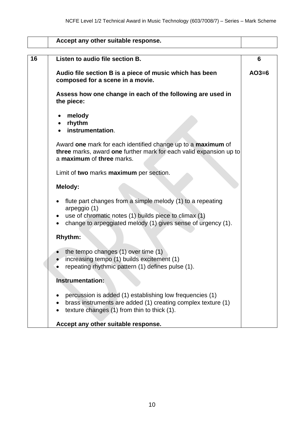|    | Accept any other suitable response.                                                                                                                                                                 |         |
|----|-----------------------------------------------------------------------------------------------------------------------------------------------------------------------------------------------------|---------|
| 16 | Listen to audio file section B.                                                                                                                                                                     | 6       |
|    | Audio file section B is a piece of music which has been<br>composed for a scene in a movie.                                                                                                         | $AO3=6$ |
|    | Assess how one change in each of the following are used in<br>the piece:                                                                                                                            |         |
|    | melody<br>rhythm<br>$\bullet$<br>instrumentation.                                                                                                                                                   |         |
|    | Award one mark for each identified change up to a maximum of<br>three marks, award one further mark for each valid expansion up to<br>a maximum of three marks.                                     |         |
|    | Limit of two marks maximum per section.                                                                                                                                                             |         |
|    | Melody:                                                                                                                                                                                             |         |
|    | flute part changes from a simple melody (1) to a repeating<br>arpeggio (1)<br>use of chromatic notes (1) builds piece to climax (1)<br>change to arpeggiated melody (1) gives sense of urgency (1). |         |
|    | <b>Rhythm:</b>                                                                                                                                                                                      |         |
|    | the tempo changes (1) over time (1)<br>increasing tempo (1) builds excitement (1)<br>repeating rhythmic pattern (1) defines pulse (1).                                                              |         |
|    | <b>Instrumentation:</b>                                                                                                                                                                             |         |
|    | percussion is added (1) establishing low frequencies (1)<br>brass instruments are added (1) creating complex texture (1)<br>texture changes (1) from thin to thick (1).                             |         |
|    | Accept any other suitable response.                                                                                                                                                                 |         |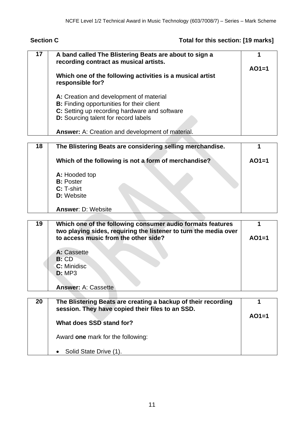## **Section C Total for this section: [19 marks]**

| 17 | A band called The Blistering Beats are about to sign a<br>recording contract as musical artists. |         |
|----|--------------------------------------------------------------------------------------------------|---------|
|    |                                                                                                  | $AO1=1$ |
|    | Which one of the following activities is a musical artist<br>responsible for?                    |         |
|    | A: Creation and development of material                                                          |         |
|    | <b>B:</b> Finding opportunities for their client                                                 |         |
|    | C: Setting up recording hardware and software                                                    |         |
|    | D: Sourcing talent for record labels                                                             |         |
|    | <b>Answer:</b> A: Creation and development of material.                                          |         |
|    |                                                                                                  |         |
| 18 | The Blistering Beats are considering selling merchandise.                                        |         |
|    | Which of the following is not a form of merchandise?                                             | $AO1=1$ |
|    | A: Hooded top                                                                                    |         |
|    | <b>B:</b> Poster                                                                                 |         |
|    | C: T-shirt                                                                                       |         |
|    | <b>D:</b> Website                                                                                |         |

### **Answer**: D: Website

| 19 | Which one of the following consumer audio formats features<br>two playing sides, requiring the listener to turn the media over<br>to access music from the other side? | $AO1=1$ |
|----|------------------------------------------------------------------------------------------------------------------------------------------------------------------------|---------|
|    | A: Cassette<br>B:CD<br>C: Minidisc<br><b>D: MP3</b>                                                                                                                    |         |
|    | <b>Answer: A: Cassette</b>                                                                                                                                             |         |

| 20 | The Blistering Beats are creating a backup of their recording<br>session. They have copied their files to an SSD. |         |
|----|-------------------------------------------------------------------------------------------------------------------|---------|
|    |                                                                                                                   | $AO1=1$ |
|    | What does SSD stand for?                                                                                          |         |
|    | Award one mark for the following:                                                                                 |         |
|    | Solid State Drive (1).                                                                                            |         |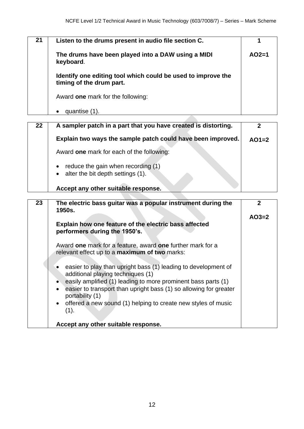| 21 | Listen to the drums present in audio file section C.                                     |         |
|----|------------------------------------------------------------------------------------------|---------|
|    | The drums have been played into a DAW using a MIDI<br>keyboard.                          | $AO2=1$ |
|    | Identify one editing tool which could be used to improve the<br>timing of the drum part. |         |
|    | Award one mark for the following:                                                        |         |
|    | quantise (1).                                                                            |         |

| $22 \,$ | A sampler patch in a part that you have created is distorting.                                 |         |
|---------|------------------------------------------------------------------------------------------------|---------|
|         | Explain two ways the sample patch could have been improved.                                    | $AO1=2$ |
|         | Award one mark for each of the following:                                                      |         |
|         | reduce the gain when recording (1)<br>$\bullet$<br>$\bullet$ alter the bit depth settings (1). |         |
|         | Accept any other suitable response.                                                            |         |

| 23 | The electric bass guitar was a popular instrument during the<br>1950s.                              | 2       |
|----|-----------------------------------------------------------------------------------------------------|---------|
|    |                                                                                                     | $AO3=2$ |
|    | Explain how one feature of the electric bass affected<br>performers during the 1950's.              |         |
|    | Award one mark for a feature, award one further mark for a                                          |         |
|    | relevant effect up to a maximum of two marks:                                                       |         |
|    |                                                                                                     |         |
|    | easier to play than upright bass (1) leading to development of<br>additional playing techniques (1) |         |
|    | easily amplified (1) leading to more prominent bass parts (1)                                       |         |
|    | • easier to transport than upright bass (1) so allowing for greater<br>portability (1)              |         |
|    | • offered a new sound (1) helping to create new styles of music<br>(1).                             |         |
|    | Accept any other suitable response.                                                                 |         |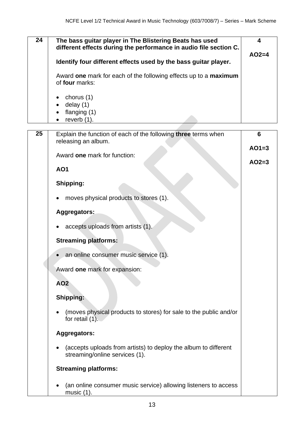| 24 | The bass guitar player in The Blistering Beats has used<br>different effects during the performance in audio file section C. | 4       |
|----|------------------------------------------------------------------------------------------------------------------------------|---------|
|    | Identify four different effects used by the bass guitar player.                                                              | $AO2=4$ |
|    | Award one mark for each of the following effects up to a maximum<br>of four marks:                                           |         |
|    | chorus (1)<br>delay $(1)$<br>flanging (1)                                                                                    |         |
|    | reverb $(1)$ .<br>$\bullet$                                                                                                  |         |

| $\overline{25}$ | Explain the function of each of the following three terms when<br>releasing an album.             | $6\phantom{1}6$ |
|-----------------|---------------------------------------------------------------------------------------------------|-----------------|
|                 | Award one mark for function:                                                                      | $AO1=3$         |
|                 |                                                                                                   | $AO2=3$         |
|                 | <b>AO1</b>                                                                                        |                 |
|                 | Shipping:                                                                                         |                 |
|                 | moves physical products to stores (1).                                                            |                 |
|                 | <b>Aggregators:</b>                                                                               |                 |
|                 | accepts uploads from artists (1).                                                                 |                 |
|                 | <b>Streaming platforms:</b>                                                                       |                 |
|                 | an online consumer music service (1).                                                             |                 |
|                 | Award one mark for expansion:                                                                     |                 |
|                 | <b>AO2</b>                                                                                        |                 |
|                 | Shipping:                                                                                         |                 |
|                 | (moves physical products to stores) for sale to the public and/or<br>for retail $(1)$ .           |                 |
|                 | Aggregators:                                                                                      |                 |
|                 | (accepts uploads from artists) to deploy the album to different<br>streaming/online services (1). |                 |
|                 | <b>Streaming platforms:</b>                                                                       |                 |
|                 | (an online consumer music service) allowing listeners to access<br>music $(1)$ .                  |                 |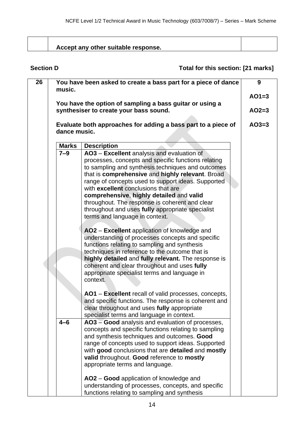| Accept any other suitable response. |  |
|-------------------------------------|--|

### **Section D Total for this section: [21 marks]**

| 26 |                                                                                                    | You have been asked to create a bass part for a piece of dance                                                                                                                                                                                                                                                                                                                                                                                                                              | 9       |  |
|----|----------------------------------------------------------------------------------------------------|---------------------------------------------------------------------------------------------------------------------------------------------------------------------------------------------------------------------------------------------------------------------------------------------------------------------------------------------------------------------------------------------------------------------------------------------------------------------------------------------|---------|--|
|    | music.                                                                                             |                                                                                                                                                                                                                                                                                                                                                                                                                                                                                             |         |  |
|    | You have the option of sampling a bass guitar or using a<br>synthesiser to create your bass sound. |                                                                                                                                                                                                                                                                                                                                                                                                                                                                                             |         |  |
|    | dance music.                                                                                       | Evaluate both approaches for adding a bass part to a piece of                                                                                                                                                                                                                                                                                                                                                                                                                               | $AO3=3$ |  |
|    |                                                                                                    |                                                                                                                                                                                                                                                                                                                                                                                                                                                                                             |         |  |
|    | <b>Marks</b>                                                                                       | <b>Description</b>                                                                                                                                                                                                                                                                                                                                                                                                                                                                          |         |  |
|    | $7 - 9$                                                                                            | AO3 - Excellent analysis and evaluation of<br>processes, concepts and specific functions relating<br>to sampling and synthesis techniques and outcomes<br>that is comprehensive and highly relevant. Broad<br>range of concepts used to support ideas. Supported<br>with excellent conclusions that are<br>comprehensive, highly detailed and valid<br>throughout. The response is coherent and clear<br>throughout and uses fully appropriate specialist<br>terms and language in context. |         |  |
|    |                                                                                                    | AO2 - Excellent application of knowledge and<br>understanding of processes concepts and specific<br>functions relating to sampling and synthesis<br>techniques in reference to the outcome that is<br>highly detailed and fully relevant. The response is<br>coherent and clear throughout and uses fully<br>appropriate specialist terms and language in<br>context.                                                                                                                       |         |  |
|    |                                                                                                    | AO1 - Excellent recall of valid processes, concepts,<br>and specific functions. The response is coherent and<br>clear throughout and uses fully appropriate<br>specialist terms and language in context.                                                                                                                                                                                                                                                                                    |         |  |
|    | $4 - 6$                                                                                            | AO3 - Good analysis and evaluation of processes,<br>concepts and specific functions relating to sampling<br>and synthesis techniques and outcomes. Good<br>range of concepts used to support ideas. Supported<br>with good conclusions that are detailed and mostly<br>valid throughout. Good reference to mostly<br>appropriate terms and language.                                                                                                                                        |         |  |
|    |                                                                                                    | AO2 - Good application of knowledge and<br>understanding of processes, concepts, and specific<br>functions relating to sampling and synthesis                                                                                                                                                                                                                                                                                                                                               |         |  |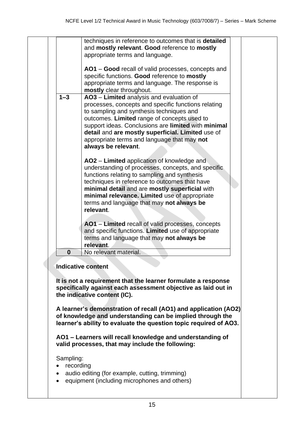|           | techniques in reference to outcomes that is detailed<br>and mostly relevant. Good reference to mostly                                                                                                                                                                                                                                                                                            |  |
|-----------|--------------------------------------------------------------------------------------------------------------------------------------------------------------------------------------------------------------------------------------------------------------------------------------------------------------------------------------------------------------------------------------------------|--|
|           | appropriate terms and language.                                                                                                                                                                                                                                                                                                                                                                  |  |
|           | AO1 – Good recall of valid processes, concepts and<br>specific functions. Good reference to mostly<br>appropriate terms and language. The response is<br>mostly clear throughout.                                                                                                                                                                                                                |  |
| $1 - 3$   | AO3 - Limited analysis and evaluation of<br>processes, concepts and specific functions relating<br>to sampling and synthesis techniques and<br>outcomes. Limited range of concepts used to<br>support ideas. Conclusions are limited with minimal<br>detail and are mostly superficial. Limited use of<br>appropriate terms and language that may not<br>always be relevant.                     |  |
|           | AO2 – Limited application of knowledge and<br>understanding of processes, concepts, and specific<br>functions relating to sampling and synthesis<br>techniques in reference to outcomes that have<br>minimal detail and are mostly superficial with<br>minimal relevance. Limited use of appropriate<br>terms and language that may not always be<br>relevant.                                   |  |
|           | AO1 - Limited recall of valid processes, concepts<br>and specific functions. Limited use of appropriate<br>terms and language that may not always be<br>relevant.                                                                                                                                                                                                                                |  |
| $\bf{0}$  | No relevant material.                                                                                                                                                                                                                                                                                                                                                                            |  |
|           | <b>Indicative content</b><br>It is not a requirement that the learner formulate a response<br>specifically against each assessment objective as laid out in<br>the indicative content (IC).<br>A learner's demonstration of recall (AO1) and application (AO2)<br>of knowledge and understanding can be implied through the<br>learner's ability to evaluate the question topic required of AO3. |  |
|           | AO1 - Learners will recall knowledge and understanding of<br>valid processes, that may include the following:                                                                                                                                                                                                                                                                                    |  |
| Sampling: |                                                                                                                                                                                                                                                                                                                                                                                                  |  |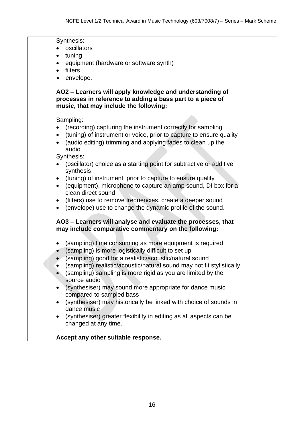| (tuning) of instrument or voice, prior to capture to ensure quality                                                                       |
|-------------------------------------------------------------------------------------------------------------------------------------------|
|                                                                                                                                           |
|                                                                                                                                           |
|                                                                                                                                           |
|                                                                                                                                           |
|                                                                                                                                           |
|                                                                                                                                           |
| (equipment), microphone to capture an amp sound, DI box for a                                                                             |
|                                                                                                                                           |
|                                                                                                                                           |
|                                                                                                                                           |
| AO3 - Learners will analyse and evaluate the processes, that                                                                              |
|                                                                                                                                           |
|                                                                                                                                           |
|                                                                                                                                           |
|                                                                                                                                           |
|                                                                                                                                           |
| (sampling) realistic/acoustic/natural sound may not fit stylistically                                                                     |
|                                                                                                                                           |
|                                                                                                                                           |
|                                                                                                                                           |
| (synthesiser) may historically be linked with choice of sounds in                                                                         |
|                                                                                                                                           |
|                                                                                                                                           |
|                                                                                                                                           |
|                                                                                                                                           |
|                                                                                                                                           |
| (oscillator) choice as a starting point for subtractive or additive<br>(synthesiser) greater flexibility in editing as all aspects can be |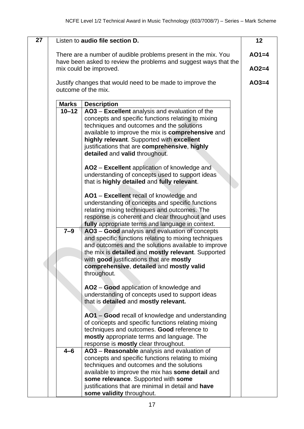| $\overline{27}$ |              | Listen to audio file section D.                                                                                                                                                                                                                                                                                                                                                | 12      |  |
|-----------------|--------------|--------------------------------------------------------------------------------------------------------------------------------------------------------------------------------------------------------------------------------------------------------------------------------------------------------------------------------------------------------------------------------|---------|--|
|                 |              | There are a number of audible problems present in the mix. You<br>have been asked to review the problems and suggest ways that the                                                                                                                                                                                                                                             | $AO1=4$ |  |
|                 |              | mix could be improved.                                                                                                                                                                                                                                                                                                                                                         | $AO2=4$ |  |
|                 |              | Justify changes that would need to be made to improve the<br>outcome of the mix.                                                                                                                                                                                                                                                                                               | $AO3=4$ |  |
|                 |              |                                                                                                                                                                                                                                                                                                                                                                                |         |  |
|                 | <b>Marks</b> | <b>Description</b>                                                                                                                                                                                                                                                                                                                                                             |         |  |
|                 | $10 - 12$    | AO3 – Excellent analysis and evaluation of the<br>concepts and specific functions relating to mixing<br>techniques and outcomes and the solutions<br>available to improve the mix is comprehensive and<br>highly relevant. Supported with excellent<br>justifications that are comprehensive, highly<br>detailed and valid throughout.                                         |         |  |
|                 |              | AO2 - Excellent application of knowledge and<br>understanding of concepts used to support ideas<br>that is highly detailed and fully relevant.                                                                                                                                                                                                                                 |         |  |
|                 |              | AO1 - Excellent recall of knowledge and<br>understanding of concepts and specific functions<br>relating mixing techniques and outcomes. The<br>response is coherent and clear throughout and uses                                                                                                                                                                              |         |  |
|                 | $7 - 9$      | fully appropriate terms and language in context.<br>AO3 - Good analysis and evaluation of concepts<br>and specific functions relating to mixing techniques<br>and outcomes and the solutions available to improve<br>the mix is detailed and mostly relevant. Supported<br>with good justifications that are mostly<br>comprehensive, detailed and mostly valid<br>throughout. |         |  |
|                 |              | AO2 – Good application of knowledge and<br>understanding of concepts used to support ideas<br>that is detailed and mostly relevant.                                                                                                                                                                                                                                            |         |  |
|                 |              | AO1 – Good recall of knowledge and understanding<br>of concepts and specific functions relating mixing<br>techniques and outcomes. Good reference to<br>mostly appropriate terms and language. The<br>response is <b>mostly</b> clear throughout.                                                                                                                              |         |  |
|                 | $4 - 6$      | AO3 - Reasonable analysis and evaluation of<br>concepts and specific functions relating to mixing<br>techniques and outcomes and the solutions<br>available to improve the mix has some detail and<br>some relevance. Supported with some<br>justifications that are minimal in detail and have<br>some validity throughout.                                                   |         |  |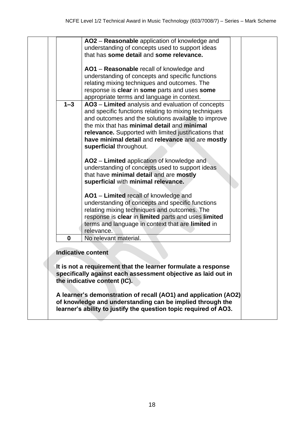|         | AO2 - Reasonable application of knowledge and<br>understanding of concepts used to support ideas<br>that has some detail and some relevance.                                                                                                                                                                                                            |  |
|---------|---------------------------------------------------------------------------------------------------------------------------------------------------------------------------------------------------------------------------------------------------------------------------------------------------------------------------------------------------------|--|
|         | AO1 - Reasonable recall of knowledge and<br>understanding of concepts and specific functions<br>relating mixing techniques and outcomes. The<br>response is clear in some parts and uses some<br>appropriate terms and language in context.                                                                                                             |  |
| $1 - 3$ | AO3 - Limited analysis and evaluation of concepts<br>and specific functions relating to mixing techniques<br>and outcomes and the solutions available to improve<br>the mix that has minimal detail and minimal<br>relevance. Supported with limited justifications that<br>have minimal detail and relevance and are mostly<br>superficial throughout. |  |
|         | AO2 – Limited application of knowledge and<br>understanding of concepts used to support ideas<br>that have minimal detail and are mostly<br>superficial with minimal relevance.                                                                                                                                                                         |  |
|         | AO1 – Limited recall of knowledge and<br>understanding of concepts and specific functions<br>relating mixing techniques and outcomes. The<br>response is clear in limited parts and uses limited<br>terms and language in context that are limited in<br>relevance.                                                                                     |  |
| 0       | No relevant material.                                                                                                                                                                                                                                                                                                                                   |  |
|         | <b>Indicative content</b><br>It is not a requirement that the learner formulate a response<br>specifically against each assessment objective as laid out in<br>the indicative content (IC).                                                                                                                                                             |  |
|         | A learner's demonstration of recall (AO1) and application (AO2)<br>of knowledge and understanding can be implied through the<br>learner's ability to justify the question topic required of AO3.                                                                                                                                                        |  |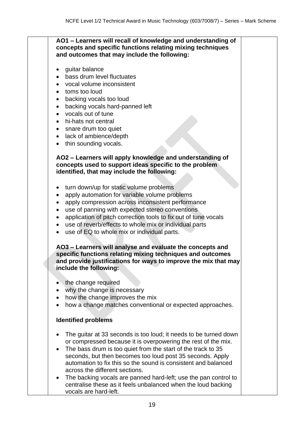**AO1 – Learners will recall of knowledge and understanding of concepts and specific functions relating mixing techniques and outcomes that may include the following:**

- guitar balance
- bass drum level fluctuates
- vocal volume inconsistent
- toms too loud
- backing vocals too loud
- backing vocals hard-panned left
- vocals out of tune
- hi-hats not central
- snare drum too quiet
- lack of ambience/depth
- thin sounding vocals.

#### **AO2 – Learners will apply knowledge and understanding of concepts used to support ideas specific to the problem identified, that may include the following:**

- turn down/up for static volume problems
- apply automation for variable volume problems
- apply compression across inconsistent performance
- use of panning with expected stereo conventions
- application of pitch correction tools to fix out of tune vocals
- use of reverb/effects to whole mix or individual parts
- use of EQ to whole mix or individual parts.

**AO3 – Learners will analyse and evaluate the concepts and specific functions relating mixing techniques and outcomes and provide justifications for ways to improve the mix that may include the following:**

- the change required
- why the change is necessary
- how the change improves the mix
- how a change matches conventional or expected approaches.

#### **Identified problems**

- The guitar at 33 seconds is too loud; it needs to be turned down or compressed because it is overpowering the rest of the mix.
- The bass drum is too quiet from the start of the track to 35 seconds, but then becomes too loud post 35 seconds. Apply automation to fix this so the sound is consistent and balanced across the different sections.
- The backing vocals are panned hard-left; use the pan control to centralise these as it feels unbalanced when the loud backing vocals are hard-left.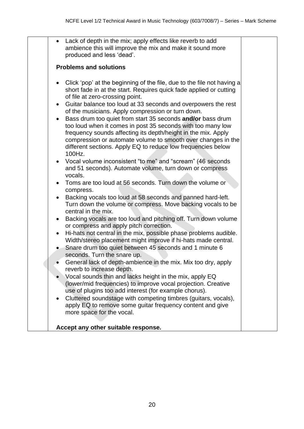| $\bullet$                                                     | Lack of depth in the mix; apply effects like reverb to add<br>ambience this will improve the mix and make it sound more<br>produced and less 'dead'.                                                                                                                                                                                                                                                                                                                                                                                                                                                                                                                                                                                                                                                                                                                                                                                                                                                                                                                                                                                                                                                                                                                                                                                                                                                                                                                                                                                                                                                                                                                                                                                                                                                      |  |
|---------------------------------------------------------------|-----------------------------------------------------------------------------------------------------------------------------------------------------------------------------------------------------------------------------------------------------------------------------------------------------------------------------------------------------------------------------------------------------------------------------------------------------------------------------------------------------------------------------------------------------------------------------------------------------------------------------------------------------------------------------------------------------------------------------------------------------------------------------------------------------------------------------------------------------------------------------------------------------------------------------------------------------------------------------------------------------------------------------------------------------------------------------------------------------------------------------------------------------------------------------------------------------------------------------------------------------------------------------------------------------------------------------------------------------------------------------------------------------------------------------------------------------------------------------------------------------------------------------------------------------------------------------------------------------------------------------------------------------------------------------------------------------------------------------------------------------------------------------------------------------------|--|
|                                                               | <b>Problems and solutions</b>                                                                                                                                                                                                                                                                                                                                                                                                                                                                                                                                                                                                                                                                                                                                                                                                                                                                                                                                                                                                                                                                                                                                                                                                                                                                                                                                                                                                                                                                                                                                                                                                                                                                                                                                                                             |  |
| $\bullet$<br>$\bullet$<br>$\bullet$<br>$\bullet$<br>$\bullet$ | Click 'pop' at the beginning of the file, due to the file not having a<br>short fade in at the start. Requires quick fade applied or cutting<br>of file at zero-crossing point.<br>Guitar balance too loud at 33 seconds and overpowers the rest<br>of the musicians. Apply compression or turn down.<br>Bass drum too quiet from start 35 seconds and/or bass drum<br>too loud when it comes in post 35 seconds with too many low<br>frequency sounds affecting its depth/height in the mix. Apply<br>compression or automate volume to smooth over changes in the<br>different sections. Apply EQ to reduce low frequencies below<br>100Hz.<br>Vocal volume inconsistent "to me" and "scream" (46 seconds<br>and 51 seconds). Automate volume, turn down or compress<br>vocals.<br>Toms are too loud at 56 seconds. Turn down the volume or<br>compress.<br>Backing vocals too loud at 58 seconds and panned hard-left.<br>Turn down the volume or compress. Move backing vocals to be<br>central in the mix.<br>Backing vocals are too loud and pitching off. Turn down volume<br>or compress and apply pitch correction.<br>Hi-hats not central in the mix, possible phase problems audible.<br>Width/stereo placement might improve if hi-hats made central.<br>Snare drum too quiet between 45 seconds and 1 minute 6<br>seconds. Turn the snare up.<br>General lack of depth-ambience in the mix. Mix too dry, apply<br>reverb to increase depth.<br>Vocal sounds thin and lacks height in the mix, apply EQ<br>(lower/mid frequencies) to improve vocal projection. Creative<br>use of plugins too add interest (for example chorus).<br>Cluttered soundstage with competing timbres (guitars, vocals),<br>apply EQ to remove some guitar frequency content and give<br>more space for the vocal. |  |
|                                                               | Accept any other suitable response.                                                                                                                                                                                                                                                                                                                                                                                                                                                                                                                                                                                                                                                                                                                                                                                                                                                                                                                                                                                                                                                                                                                                                                                                                                                                                                                                                                                                                                                                                                                                                                                                                                                                                                                                                                       |  |